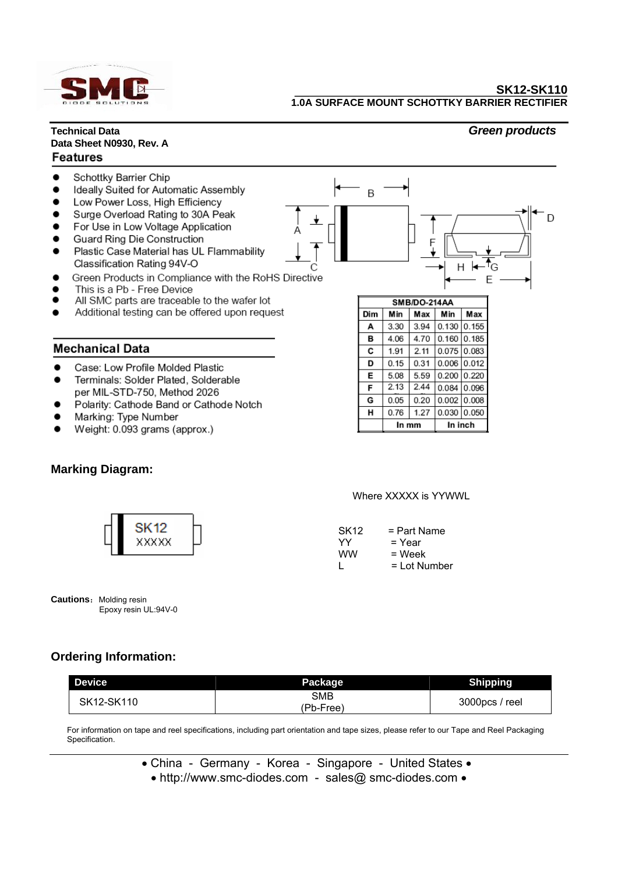

### **Technical Data** *Green products* **Data Sheet N0930, Rev. A Features**



## **Mechanical Data**

- Case: Low Profile Molded Plastic
- Terminals: Solder Plated, Solderable per MIL-STD-750, Method 2026
- Polarity: Cathode Band or Cathode Notch
- Marking: Type Number
- Weight: 0.093 grams (approx.)

# **Marking Diagram:**

| SMB/DO-214AA |      |      |         |       |  |  |  |  |
|--------------|------|------|---------|-------|--|--|--|--|
| Dim          | Min  | Max  | Min     | Max   |  |  |  |  |
| A            | 3.30 | 3.94 | 0.130   | 0.155 |  |  |  |  |
| в            | 4.06 | 4.70 | 0.160   | 0.185 |  |  |  |  |
| С            | 1.91 | 2.11 | 0.075   | 0.083 |  |  |  |  |
| D            | 0.15 | 0.31 | 0.006   | 0.012 |  |  |  |  |
| Е            | 5.08 | 5.59 | 0.200   | 0.220 |  |  |  |  |
| F            | 2.13 | 2.44 | 0.084   | 0.096 |  |  |  |  |
| G            | 0.05 | 0.20 | 0.002   | 0.008 |  |  |  |  |
| н            | 0.76 | 1.27 | 0.030   | 0.050 |  |  |  |  |
|              |      | mm   | In inch |       |  |  |  |  |

### Where XXXXX is YYWWL

| SK12 | $=$ Part Name  |
|------|----------------|
| YY   | = Year         |
| ww   | $=$ Week       |
|      | $=$ Lot Number |

| XXXXX |  |
|-------|--|
|       |  |

**Cautions:** Molding resin Epoxy resin UL:94V-0

# **Ordering Information:**

| <b>Device</b> | _<br>Package     | <b>Shipping</b> |  |  |  |
|---------------|------------------|-----------------|--|--|--|
| SK12-SK110    | SMB<br>(Pb-Free) | 3000pcs / reel  |  |  |  |

For information on tape and reel specifications, including part orientation and tape sizes, please refer to our Tape and Reel Packaging Specification.

• China - Germany - Korea - Singapore - United States •

• http://www.smc-diodes.com - sales@ smc-diodes.com •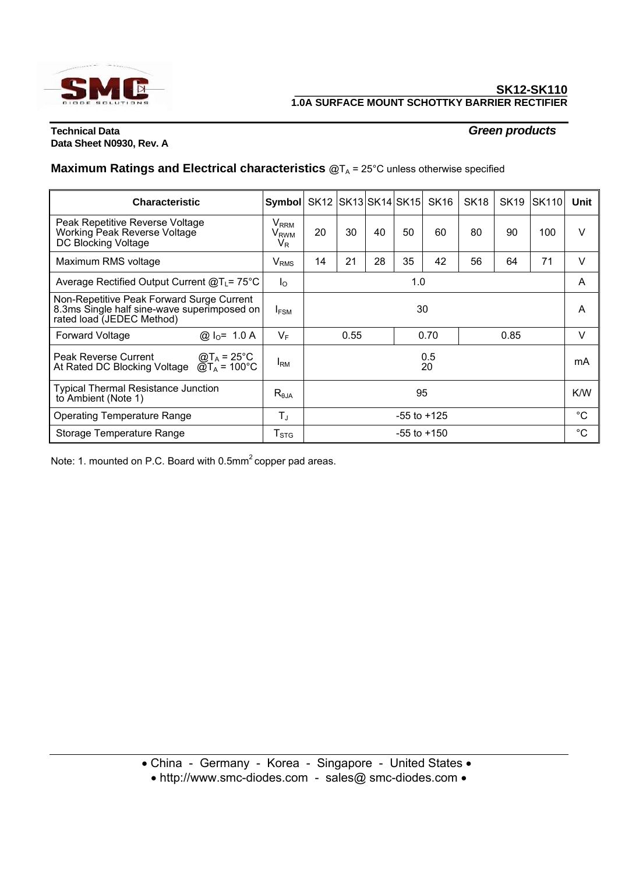

## **Technical Data** *Green products* **Data Sheet N0930, Rev. A**

# **Maximum Ratings and Electrical characteristics @TA = 25°C unless otherwise specified**

| <b>Characteristic</b>                                                                                                                     |  | <b>Symbol</b>                                                       |                      |    |    |    | SK12 SK13 SK14 SK15 SK16 | SK <sub>18</sub> | <b>SK19</b> | <b>SK110</b> | Unit |
|-------------------------------------------------------------------------------------------------------------------------------------------|--|---------------------------------------------------------------------|----------------------|----|----|----|--------------------------|------------------|-------------|--------------|------|
| Peak Repetitive Reverse Voltage<br>Working Peak Reverse Voltage<br><b>DC Blocking Voltage</b>                                             |  | $\mathsf{V}_{\mathsf{RRM}}$<br>$\mathsf{V}_{\mathsf{RWM}}$<br>$V_R$ | 20                   | 30 | 40 | 50 | 60                       | 80               | 90          | 100          | v    |
| Maximum RMS voltage                                                                                                                       |  | V <sub>RMS</sub>                                                    | 14                   | 21 | 28 | 35 | 42                       | 56               | 64          | 71           | v    |
| Average Rectified Output Current $@T_{L} = 75^{\circ}$ C                                                                                  |  | $I_{\Omega}$                                                        | 1.0                  |    |    |    |                          |                  | A           |              |      |
| Non-Repetitive Peak Forward Surge Current<br>8.3ms Single half sine-wave superimposed on<br>rated load (JEDEC Method)                     |  | $I_{FSM}$                                                           | 30                   |    |    |    |                          |                  |             | A            |      |
| <b>Forward Voltage</b><br>@ $I_0 = 1.0 A$                                                                                                 |  | $V_F$                                                               | 0.55<br>0.70<br>0.85 |    |    |    |                          |                  | V           |              |      |
| Peak Reverse Current<br>$\textcircled{a}$ T <sub>A</sub> = 25 <sup>°</sup> C<br>At Rated DC Blocking Voltage $\textcircled{a}T_A$ = 100°C |  | <b>I</b> RM                                                         | 0.5<br>20            |    |    |    |                          |                  |             | mA           |      |
| <b>Typical Thermal Resistance Junction</b><br>to Ambient (Note 1)                                                                         |  | $R_{\theta$ JA                                                      | 95                   |    |    |    |                          |                  | K/W         |              |      |
| <b>Operating Temperature Range</b>                                                                                                        |  | $T_{\rm J}$                                                         | $-55$ to $+125$      |    |    |    |                          |                  |             | $^{\circ}C$  |      |
| Storage Temperature Range                                                                                                                 |  | ${\mathsf T}_{\text{STG}}$                                          | $-55$ to $+150$      |    |    |    |                          |                  |             | $^{\circ}C$  |      |

Note: 1. mounted on P.C. Board with 0.5mm<sup>2</sup> copper pad areas.

• China - Germany - Korea - Singapore - United States •

• http://www.smc-diodes.com - sales@ smc-diodes.com •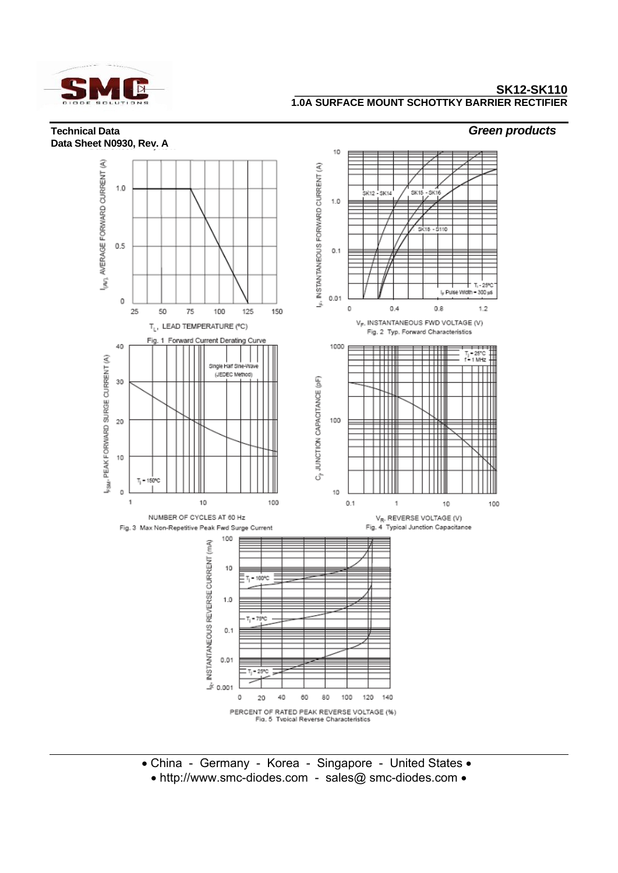

## **Technical Data** *Green products* **Data Sheet N0930, Rev. A**



- China Germany Korea Singapore United States •
- http://www.smc-diodes.com sales@ smc-diodes.com •